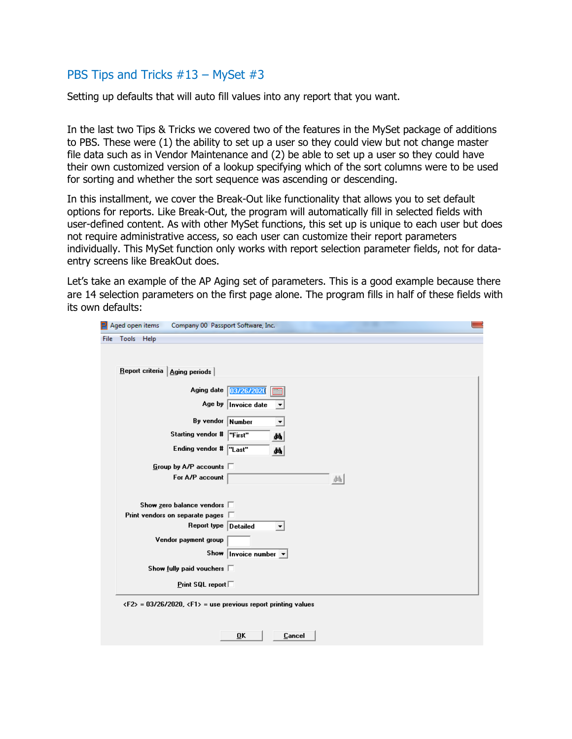## PBS Tips and Tricks #13 – MySet #3

Setting up defaults that will auto fill values into any report that you want.

In the last two Tips & Tricks we covered two of the features in the MySet package of additions to PBS. These were (1) the ability to set up a user so they could view but not change master file data such as in Vendor Maintenance and (2) be able to set up a user so they could have their own customized version of a lookup specifying which of the sort columns were to be used for sorting and whether the sort sequence was ascending or descending.

In this installment, we cover the Break-Out like functionality that allows you to set default options for reports. Like Break-Out, the program will automatically fill in selected fields with user-defined content. As with other MySet functions, this set up is unique to each user but does not require administrative access, so each user can customize their report parameters individually. This MySet function only works with report selection parameter fields, not for dataentry screens like BreakOut does.

Let's take an example of the AP Aging set of parameters. This is a good example because there are 14 selection parameters on the first page alone. The program fills in half of these fields with its own defaults:

| Aged open items | Company 00 Passport Software, Inc.     |  |
|-----------------|----------------------------------------|--|
| File Tools Help |                                        |  |
|                 |                                        |  |
|                 | Report criteria   Aging periods        |  |
|                 | Aging date 03/26/2020                  |  |
|                 | Age by<br>Invoice date                 |  |
|                 | By vendor<br>Number                    |  |
|                 | Starting vendor #<br>"First"<br>ÅЬ     |  |
|                 | Ending vendor # "Last"<br>åå.          |  |
|                 | Group by A/P accounts $\square$        |  |
|                 | For A/P account<br>龋                   |  |
|                 |                                        |  |
|                 | Show zero balance vendors $\square$    |  |
|                 | Print vendors on separate pages $\Box$ |  |
|                 | Report type Detailed                   |  |
|                 | Vendor payment group                   |  |
|                 | Show<br>Invoice number $\sqrt{*}$      |  |
|                 | Show fully paid vouchers $\square$     |  |
|                 | <b>Print SQL report</b>                |  |

Cancel

0K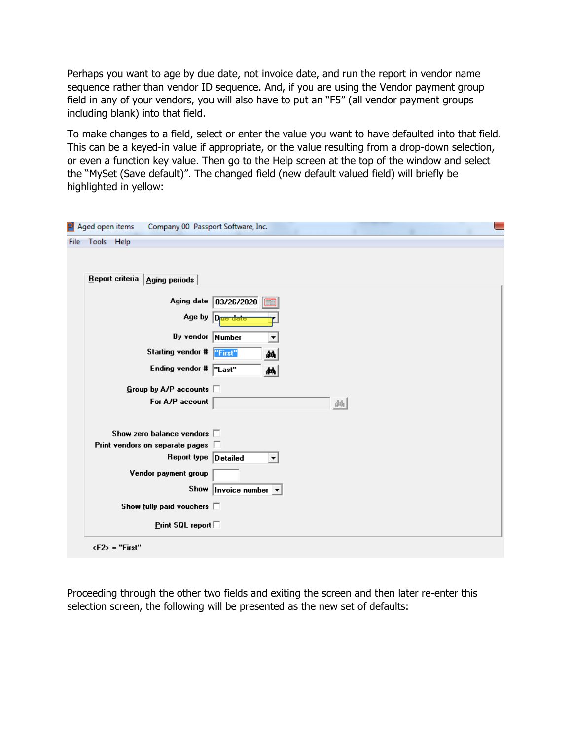Perhaps you want to age by due date, not invoice date, and run the report in vendor name sequence rather than vendor ID sequence. And, if you are using the Vendor payment group field in any of your vendors, you will also have to put an "F5" (all vendor payment groups including blank) into that field.

To make changes to a field, select or enter the value you want to have defaulted into that field. This can be a keyed-in value if appropriate, or the value resulting from a drop-down selection, or even a function key value. Then go to the Help screen at the top of the window and select the "MySet (Save default)". The changed field (new default valued field) will briefly be highlighted in yellow:

|      | $\mathsf{P}\vert$ Aged open items<br>Company 00 Passport Software, Inc. |                                            |
|------|-------------------------------------------------------------------------|--------------------------------------------|
| File | Tools Help                                                              |                                            |
|      |                                                                         |                                            |
|      |                                                                         |                                            |
|      | Report criteria   Aging periods                                         |                                            |
|      | Aging date                                                              | 03/26/2020                                 |
|      |                                                                         | Age by Date date                           |
|      | By vendor Number                                                        | ▼                                          |
|      | Starting vendor #                                                       | "First"<br>đâ,                             |
|      | Ending vendor # "Last"                                                  | 44                                         |
|      | Group by A/P accounts $\square$                                         |                                            |
|      | For A/P account                                                         | 龋                                          |
|      |                                                                         |                                            |
|      | Show zero balance vendors $\square$                                     |                                            |
|      | Print vendors on separate pages $\square$                               |                                            |
|      | Report type Detailed                                                    |                                            |
|      | Vendor payment group                                                    |                                            |
|      |                                                                         | Show   Invoice number $\boxed{\mathbf{v}}$ |
|      | Show fully paid vouchers $\square$                                      |                                            |
|      | <b>Print SQL report</b>                                                 |                                            |
|      | $\langle F2 \rangle$ = "First"                                          |                                            |

Proceeding through the other two fields and exiting the screen and then later re-enter this selection screen, the following will be presented as the new set of defaults: